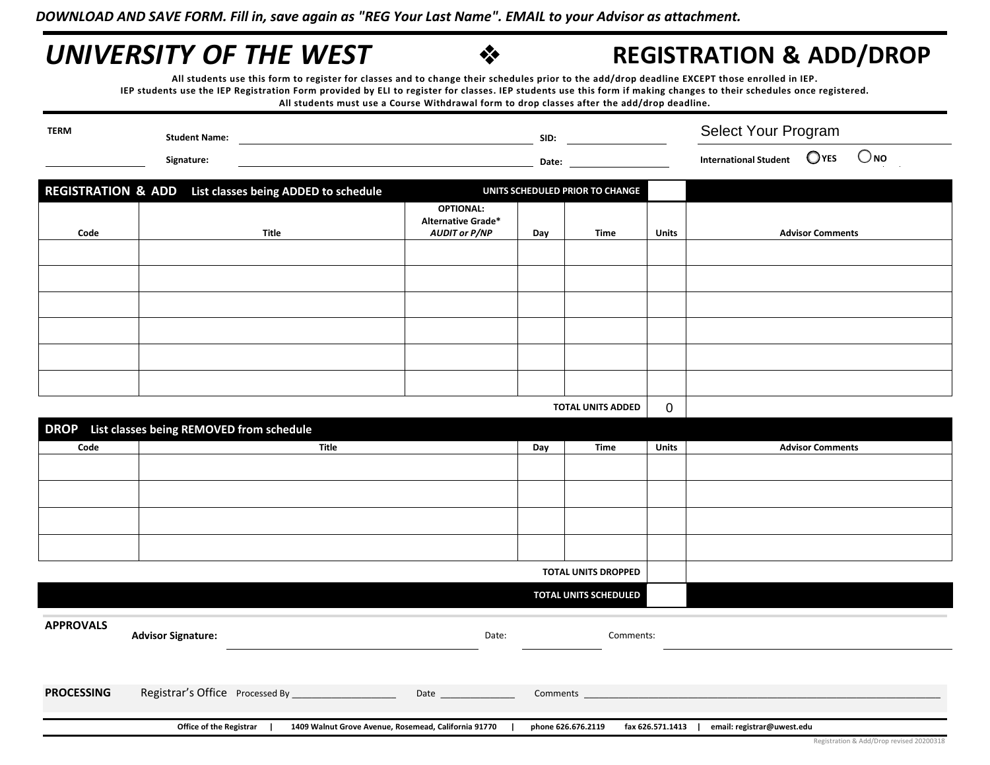## **UNIVERSITY OF THE WEST**  $\bullet$  **REGISTRATION & ADD/DROP**

**All students use this form to register for classes and to change their schedules prior to the add/drop deadline EXCEPT those enrolled in IEP. IEP students use the IEP Registration Form provided by ELI to register for classes. IEP students use this form if making changes to their schedules once registered. All students must use a Course Withdrawal form to drop classes after the add/drop deadline.** 

| <b>TERM</b><br><b>Student Name:</b><br>Signature: |                                                         | SID:                                                                  |     |                                 | Select Your Program |                                                          |
|---------------------------------------------------|---------------------------------------------------------|-----------------------------------------------------------------------|-----|---------------------------------|---------------------|----------------------------------------------------------|
|                                                   |                                                         | Date:                                                                 |     |                                 |                     | $\bigcirc$ NO<br>$O$ YES<br><b>International Student</b> |
|                                                   | REGISTRATION & ADD List classes being ADDED to schedule |                                                                       |     | UNITS SCHEDULED PRIOR TO CHANGE |                     |                                                          |
| Code                                              | Title                                                   | <b>OPTIONAL:</b><br><b>Alternative Grade*</b><br><b>AUDIT or P/NP</b> | Day | Time                            | <b>Units</b>        | <b>Advisor Comments</b>                                  |
|                                                   |                                                         |                                                                       |     |                                 |                     |                                                          |
|                                                   |                                                         |                                                                       |     |                                 |                     |                                                          |
|                                                   |                                                         |                                                                       |     |                                 |                     |                                                          |
|                                                   |                                                         |                                                                       |     |                                 |                     |                                                          |
|                                                   |                                                         |                                                                       |     |                                 |                     |                                                          |
|                                                   |                                                         |                                                                       |     |                                 |                     |                                                          |
|                                                   |                                                         |                                                                       |     | <b>TOTAL UNITS ADDED</b>        | 0                   |                                                          |

| DROP List classes being REMOVED from schedule |       |     |             |              |                         |  |
|-----------------------------------------------|-------|-----|-------------|--------------|-------------------------|--|
| Code                                          | Title | Day | <b>Time</b> | <b>Units</b> | <b>Advisor Comments</b> |  |
|                                               |       |     |             |              |                         |  |
|                                               |       |     |             |              |                         |  |
|                                               |       |     |             |              |                         |  |
|                                               |       |     |             |              |                         |  |
| <b>TOTAL UNITS DROPPED</b>                    |       |     |             |              |                         |  |
| TOTAL UNITS SCHEDULED                         |       |     |             |              |                         |  |

| <b>APPROVALS</b>  | <b>Advisor Signature:</b>                                                              | Date:    | Comments:                              |                            |  |
|-------------------|----------------------------------------------------------------------------------------|----------|----------------------------------------|----------------------------|--|
|                   |                                                                                        |          |                                        |                            |  |
| <b>PROCESSING</b> | Registrar's Office Processed By<br>Date                                                | Comments |                                        |                            |  |
|                   | <b>Office of the Registrar</b><br>1409 Walnut Grove Avenue, Rosemead, California 91770 |          | fax 626.571.1413<br>phone 626.676.2119 | email: registrar@uwest.edu |  |